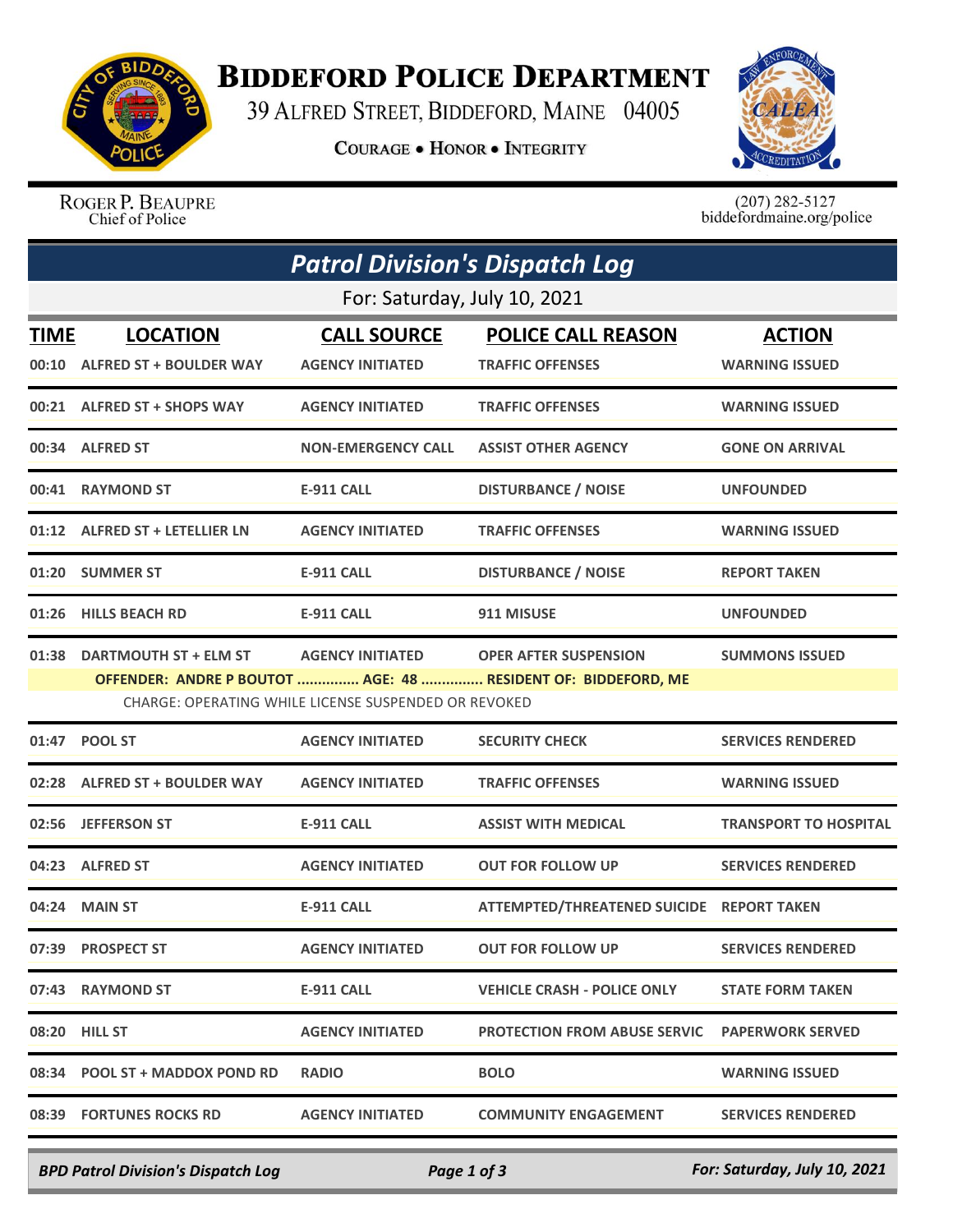

## **BIDDEFORD POLICE DEPARTMENT**

39 ALFRED STREET, BIDDEFORD, MAINE 04005

**COURAGE . HONOR . INTEGRITY** 



ROGER P. BEAUPRE Chief of Police

 $(207)$  282-5127<br>biddefordmaine.org/police

| <b>Patrol Division's Dispatch Log</b> |                                                  |                                                                                 |                                                                                               |                                        |  |  |  |
|---------------------------------------|--------------------------------------------------|---------------------------------------------------------------------------------|-----------------------------------------------------------------------------------------------|----------------------------------------|--|--|--|
| For: Saturday, July 10, 2021          |                                                  |                                                                                 |                                                                                               |                                        |  |  |  |
| <b>TIME</b>                           | <b>LOCATION</b><br>00:10 ALFRED ST + BOULDER WAY | <b>CALL SOURCE</b><br><b>AGENCY INITIATED</b>                                   | <b>POLICE CALL REASON</b><br><b>TRAFFIC OFFENSES</b>                                          | <b>ACTION</b><br><b>WARNING ISSUED</b> |  |  |  |
|                                       | 00:21 ALFRED ST + SHOPS WAY                      | <b>AGENCY INITIATED</b>                                                         | <b>TRAFFIC OFFENSES</b>                                                                       | <b>WARNING ISSUED</b>                  |  |  |  |
|                                       | 00:34 ALFRED ST                                  | <b>NON-EMERGENCY CALL</b>                                                       | <b>ASSIST OTHER AGENCY</b>                                                                    | <b>GONE ON ARRIVAL</b>                 |  |  |  |
|                                       | 00:41 RAYMOND ST                                 | <b>E-911 CALL</b>                                                               | <b>DISTURBANCE / NOISE</b>                                                                    | <b>UNFOUNDED</b>                       |  |  |  |
|                                       | 01:12 ALFRED ST + LETELLIER LN                   | <b>AGENCY INITIATED</b>                                                         | <b>TRAFFIC OFFENSES</b>                                                                       | <b>WARNING ISSUED</b>                  |  |  |  |
|                                       | 01:20 SUMMER ST                                  | <b>E-911 CALL</b>                                                               | <b>DISTURBANCE / NOISE</b>                                                                    | <b>REPORT TAKEN</b>                    |  |  |  |
|                                       | 01:26 HILLS BEACH RD                             | <b>E-911 CALL</b>                                                               | 911 MISUSE                                                                                    | <b>UNFOUNDED</b>                       |  |  |  |
| 01:38                                 | <b>DARTMOUTH ST + ELM ST</b>                     | <b>AGENCY INITIATED</b><br>CHARGE: OPERATING WHILE LICENSE SUSPENDED OR REVOKED | <b>OPER AFTER SUSPENSION</b><br>OFFENDER: ANDRE P BOUTOT  AGE: 48  RESIDENT OF: BIDDEFORD, ME | <b>SUMMONS ISSUED</b>                  |  |  |  |
|                                       | 01:47 POOL ST                                    | <b>AGENCY INITIATED</b>                                                         | <b>SECURITY CHECK</b>                                                                         | <b>SERVICES RENDERED</b>               |  |  |  |
|                                       | 02:28 ALFRED ST + BOULDER WAY                    | <b>AGENCY INITIATED</b>                                                         | <b>TRAFFIC OFFENSES</b>                                                                       | <b>WARNING ISSUED</b>                  |  |  |  |
|                                       | 02:56 JEFFERSON ST                               | <b>E-911 CALL</b>                                                               | <b>ASSIST WITH MEDICAL</b>                                                                    | <b>TRANSPORT TO HOSPITAL</b>           |  |  |  |
|                                       | 04:23 ALFRED ST                                  | <b>AGENCY INITIATED</b>                                                         | <b>OUT FOR FOLLOW UP</b>                                                                      | <b>SERVICES RENDERED</b>               |  |  |  |
|                                       | 04:24 MAIN ST                                    | <b>E-911 CALL</b>                                                               | ATTEMPTED/THREATENED SUICIDE REPORT TAKEN                                                     |                                        |  |  |  |
|                                       | 07:39 PROSPECT ST                                | <b>AGENCY INITIATED</b>                                                         | <b>OUT FOR FOLLOW UP</b>                                                                      | <b>SERVICES RENDERED</b>               |  |  |  |
|                                       | 07:43 RAYMOND ST                                 | <b>E-911 CALL</b>                                                               | <b>VEHICLE CRASH - POLICE ONLY</b>                                                            | <b>STATE FORM TAKEN</b>                |  |  |  |
|                                       | 08:20 HILL ST                                    | <b>AGENCY INITIATED</b>                                                         | <b>PROTECTION FROM ABUSE SERVIC PAPERWORK SERVED</b>                                          |                                        |  |  |  |
|                                       | 08:34 POOL ST + MADDOX POND RD                   | <b>RADIO</b>                                                                    | <b>BOLO</b>                                                                                   | <b>WARNING ISSUED</b>                  |  |  |  |
|                                       | 08:39 FORTUNES ROCKS RD                          | <b>AGENCY INITIATED</b>                                                         | <b>COMMUNITY ENGAGEMENT</b>                                                                   | <b>SERVICES RENDERED</b>               |  |  |  |
|                                       |                                                  |                                                                                 |                                                                                               |                                        |  |  |  |

*BPD Patrol Division's Dispatch Log Page 1 of 3 For: Saturday, July 10, 2021*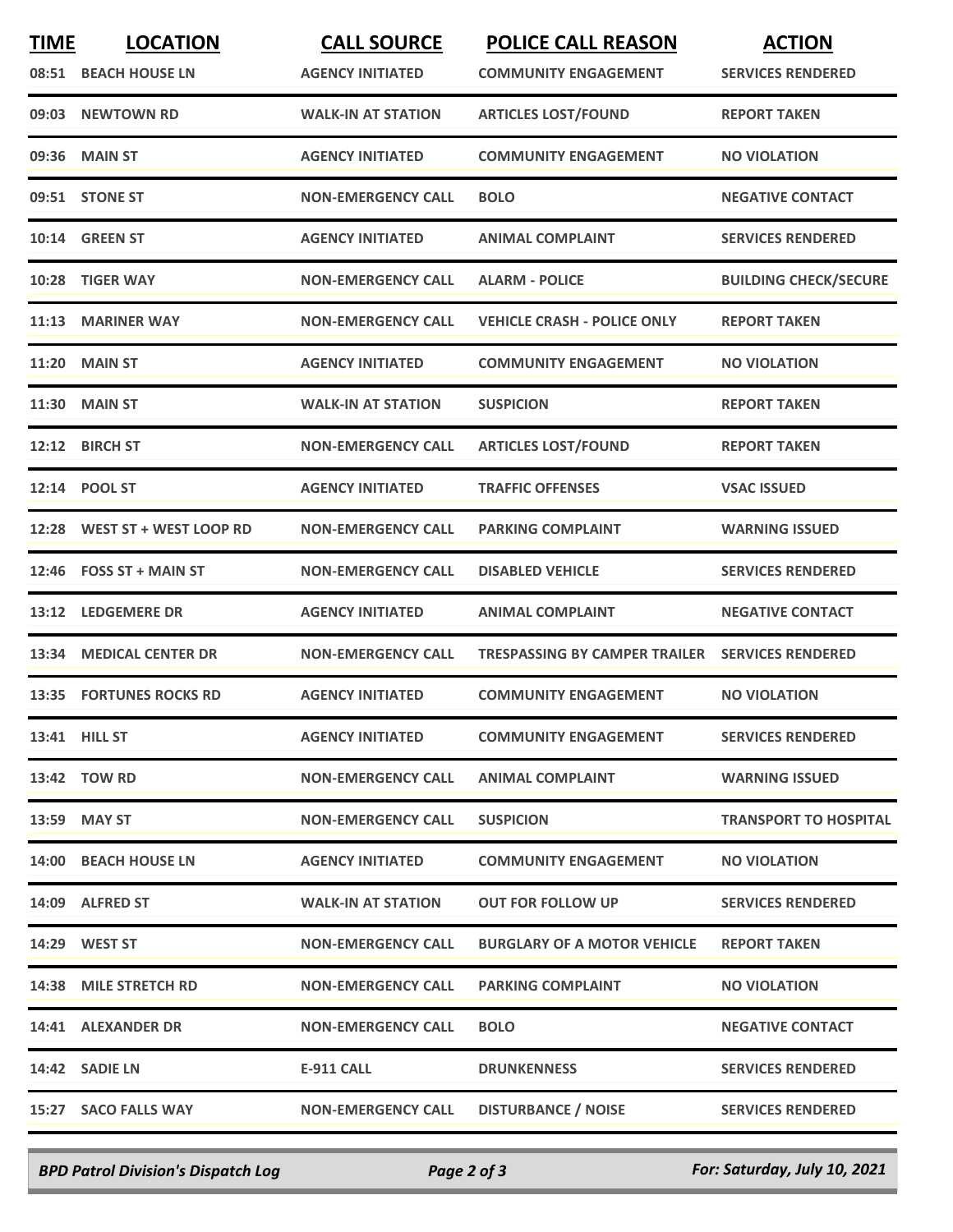| <b>TIME</b> | <b>LOCATION</b><br>08:51 BEACH HOUSE LN | <b>CALL SOURCE</b><br><b>AGENCY INITIATED</b> | <b>POLICE CALL REASON</b><br><b>COMMUNITY ENGAGEMENT</b> | <b>ACTION</b><br><b>SERVICES RENDERED</b> |
|-------------|-----------------------------------------|-----------------------------------------------|----------------------------------------------------------|-------------------------------------------|
| 09:03       | <b>NEWTOWN RD</b>                       | <b>WALK-IN AT STATION</b>                     | <b>ARTICLES LOST/FOUND</b>                               | <b>REPORT TAKEN</b>                       |
| 09:36       | <b>MAIN ST</b>                          | <b>AGENCY INITIATED</b>                       | <b>COMMUNITY ENGAGEMENT</b>                              | <b>NO VIOLATION</b>                       |
|             | 09:51 STONE ST                          | <b>NON-EMERGENCY CALL</b>                     | <b>BOLO</b>                                              | <b>NEGATIVE CONTACT</b>                   |
|             | 10:14 GREEN ST                          | <b>AGENCY INITIATED</b>                       | <b>ANIMAL COMPLAINT</b>                                  | <b>SERVICES RENDERED</b>                  |
| 10:28       | <b>TIGER WAY</b>                        | <b>NON-EMERGENCY CALL</b>                     | <b>ALARM - POLICE</b>                                    | <b>BUILDING CHECK/SECURE</b>              |
| 11:13       | <b>MARINER WAY</b>                      | <b>NON-EMERGENCY CALL</b>                     | <b>VEHICLE CRASH - POLICE ONLY</b>                       | <b>REPORT TAKEN</b>                       |
| 11:20       | <b>MAIN ST</b>                          | <b>AGENCY INITIATED</b>                       | <b>COMMUNITY ENGAGEMENT</b>                              | <b>NO VIOLATION</b>                       |
| 11:30       | <b>MAIN ST</b>                          | <b>WALK-IN AT STATION</b>                     | <b>SUSPICION</b>                                         | <b>REPORT TAKEN</b>                       |
|             | 12:12 BIRCH ST                          | <b>NON-EMERGENCY CALL</b>                     | <b>ARTICLES LOST/FOUND</b>                               | <b>REPORT TAKEN</b>                       |
|             | 12:14 POOL ST                           | <b>AGENCY INITIATED</b>                       | <b>TRAFFIC OFFENSES</b>                                  | <b>VSAC ISSUED</b>                        |
| 12:28       | WEST ST + WEST LOOP RD                  | <b>NON-EMERGENCY CALL</b>                     | <b>PARKING COMPLAINT</b>                                 | <b>WARNING ISSUED</b>                     |
| 12:46       | <b>FOSS ST + MAIN ST</b>                | <b>NON-EMERGENCY CALL</b>                     | <b>DISABLED VEHICLE</b>                                  | <b>SERVICES RENDERED</b>                  |
| 13:12       | <b>LEDGEMERE DR</b>                     | <b>AGENCY INITIATED</b>                       | <b>ANIMAL COMPLAINT</b>                                  | <b>NEGATIVE CONTACT</b>                   |
| 13:34       | <b>MEDICAL CENTER DR</b>                | <b>NON-EMERGENCY CALL</b>                     | TRESPASSING BY CAMPER TRAILER                            | <b>SERVICES RENDERED</b>                  |
| 13:35       | <b>FORTUNES ROCKS RD</b>                | <b>AGENCY INITIATED</b>                       | <b>COMMUNITY ENGAGEMENT</b>                              | <b>NO VIOLATION</b>                       |
|             | 13:41 HILL ST                           | <b>AGENCY INITIATED</b>                       | <b>COMMUNITY ENGAGEMENT</b>                              | <b>SERVICES RENDERED</b>                  |
|             | 13:42 TOW RD                            | <b>NON-EMERGENCY CALL</b>                     | <b>ANIMAL COMPLAINT</b>                                  | <b>WARNING ISSUED</b>                     |
|             | 13:59 MAY ST                            | <b>NON-EMERGENCY CALL</b>                     | <b>SUSPICION</b>                                         | <b>TRANSPORT TO HOSPITAL</b>              |
|             | 14:00 BEACH HOUSE LN                    | <b>AGENCY INITIATED</b>                       | <b>COMMUNITY ENGAGEMENT</b>                              | <b>NO VIOLATION</b>                       |
|             | 14:09 ALFRED ST                         | <b>WALK-IN AT STATION</b>                     | <b>OUT FOR FOLLOW UP</b>                                 | <b>SERVICES RENDERED</b>                  |
|             | 14:29 WEST ST                           | <b>NON-EMERGENCY CALL</b>                     | <b>BURGLARY OF A MOTOR VEHICLE</b>                       | <b>REPORT TAKEN</b>                       |
|             | 14:38 MILE STRETCH RD                   | <b>NON-EMERGENCY CALL</b>                     | <b>PARKING COMPLAINT</b>                                 | <b>NO VIOLATION</b>                       |
|             | 14:41 ALEXANDER DR                      | <b>NON-EMERGENCY CALL</b>                     | <b>BOLO</b>                                              | <b>NEGATIVE CONTACT</b>                   |
|             | 14:42 SADIE LN                          | <b>E-911 CALL</b>                             | <b>DRUNKENNESS</b>                                       | <b>SERVICES RENDERED</b>                  |
|             | 15:27 SACO FALLS WAY                    | <b>NON-EMERGENCY CALL</b>                     | <b>DISTURBANCE / NOISE</b>                               | <b>SERVICES RENDERED</b>                  |

*BPD Patrol Division's Dispatch Log Page 2 of 3 For: Saturday, July 10, 2021*